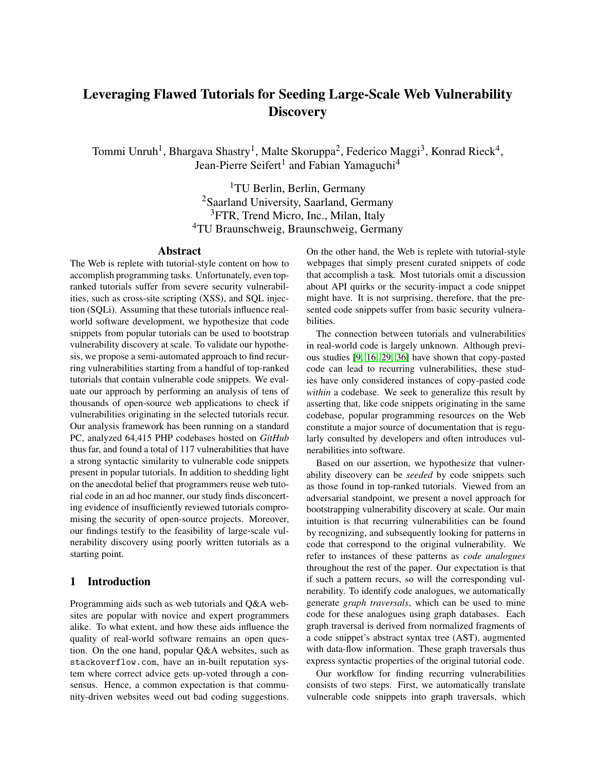# Leveraging Flawed Tutorials for Seeding Large-Scale Web Vulnerability **Discovery**

Tommi Unruh<sup>1</sup>, Bhargava Shastry<sup>1</sup>, Malte Skoruppa<sup>2</sup>, Federico Maggi<sup>3</sup>, Konrad Rieck<sup>4</sup>, Jean-Pierre Seifert<sup>1</sup> and Fabian Yamaguchi<sup>4</sup>

> TU Berlin, Berlin, Germany Saarland University, Saarland, Germany <sup>3</sup>FTR, Trend Micro, Inc., Milan, Italy TU Braunschweig, Braunschweig, Germany

## Abstract

The Web is replete with tutorial-style content on how to accomplish programming tasks. Unfortunately, even topranked tutorials suffer from severe security vulnerabilities, such as cross-site scripting (XSS), and SQL injection (SQLi). Assuming that these tutorials influence realworld software development, we hypothesize that code snippets from popular tutorials can be used to bootstrap vulnerability discovery at scale. To validate our hypothesis, we propose a semi-automated approach to find recurring vulnerabilities starting from a handful of top-ranked tutorials that contain vulnerable code snippets. We evaluate our approach by performing an analysis of tens of thousands of open-source web applications to check if vulnerabilities originating in the selected tutorials recur. Our analysis framework has been running on a standard PC, analyzed 64,415 PHP codebases hosted on *GitHub* thus far, and found a total of 117 vulnerabilities that have a strong syntactic similarity to vulnerable code snippets present in popular tutorials. In addition to shedding light on the anecdotal belief that programmers reuse web tutorial code in an ad hoc manner, our study finds disconcerting evidence of insufficiently reviewed tutorials compromising the security of open-source projects. Moreover, our findings testify to the feasibility of large-scale vulnerability discovery using poorly written tutorials as a starting point.

#### 1 Introduction

Programming aids such as web tutorials and Q&A websites are popular with novice and expert programmers alike. To what extent, and how these aids influence the quality of real-world software remains an open question. On the one hand, popular Q&A websites, such as stackoverflow.com, have an in-built reputation system where correct advice gets up-voted through a consensus. Hence, a common expectation is that community-driven websites weed out bad coding suggestions. On the other hand, the Web is replete with tutorial-style webpages that simply present curated snippets of code that accomplish a task. Most tutorials omit a discussion about API quirks or the security-impact a code snippet might have. It is not surprising, therefore, that the presented code snippets suffer from basic security vulnerabilities.

The connection between tutorials and vulnerabilities in real-world code is largely unknown. Although previous studies [\[9,](#page-9-0) [16,](#page-10-0) [29,](#page-10-1) [36\]](#page-11-0) have shown that copy-pasted code can lead to recurring vulnerabilities, these studies have only considered instances of copy-pasted code *within* a codebase. We seek to generalize this result by asserting that, like code snippets originating in the same codebase, popular programming resources on the Web constitute a major source of documentation that is regularly consulted by developers and often introduces vulnerabilities into software.

Based on our assertion, we hypothesize that vulnerability discovery can be *seeded* by code snippets such as those found in top-ranked tutorials. Viewed from an adversarial standpoint, we present a novel approach for bootstrapping vulnerability discovery at scale. Our main intuition is that recurring vulnerabilities can be found by recognizing, and subsequently looking for patterns in code that correspond to the original vulnerability. We refer to instances of these patterns as *code analogues* throughout the rest of the paper. Our expectation is that if such a pattern recurs, so will the corresponding vulnerability. To identify code analogues, we automatically generate *graph traversals*, which can be used to mine code for these analogues using graph databases. Each graph traversal is derived from normalized fragments of a code snippet's abstract syntax tree (AST), augmented with data-flow information. These graph traversals thus express syntactic properties of the original tutorial code.

Our workflow for finding recurring vulnerabilities consists of two steps. First, we automatically translate vulnerable code snippets into graph traversals, which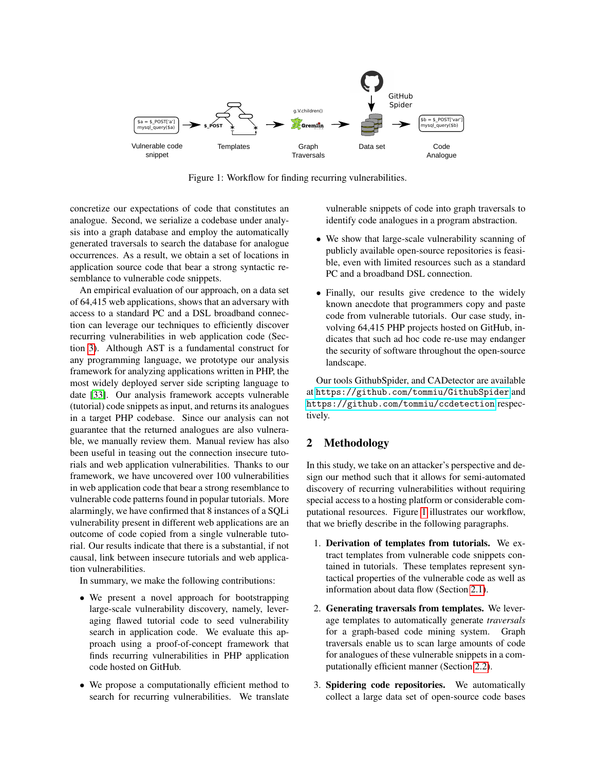

<span id="page-1-0"></span>Figure 1: Workflow for finding recurring vulnerabilities.

concretize our expectations of code that constitutes an analogue. Second, we serialize a codebase under analysis into a graph database and employ the automatically generated traversals to search the database for analogue occurrences. As a result, we obtain a set of locations in application source code that bear a strong syntactic resemblance to vulnerable code snippets.

An empirical evaluation of our approach, on a data set of 64,415 web applications, shows that an adversary with access to a standard PC and a DSL broadband connection can leverage our techniques to efficiently discover recurring vulnerabilities in web application code (Section [3\)](#page-5-0). Although AST is a fundamental construct for any programming language, we prototype our analysis framework for analyzing applications written in PHP, the most widely deployed server side scripting language to date [\[33\]](#page-10-2). Our analysis framework accepts vulnerable (tutorial) code snippets as input, and returns its analogues in a target PHP codebase. Since our analysis can not guarantee that the returned analogues are also vulnerable, we manually review them. Manual review has also been useful in teasing out the connection insecure tutorials and web application vulnerabilities. Thanks to our framework, we have uncovered over 100 vulnerabilities in web application code that bear a strong resemblance to vulnerable code patterns found in popular tutorials. More alarmingly, we have confirmed that 8 instances of a SQLi vulnerability present in different web applications are an outcome of code copied from a single vulnerable tutorial. Our results indicate that there is a substantial, if not causal, link between insecure tutorials and web application vulnerabilities.

In summary, we make the following contributions:

- We present a novel approach for bootstrapping large-scale vulnerability discovery, namely, leveraging flawed tutorial code to seed vulnerability search in application code. We evaluate this approach using a proof-of-concept framework that finds recurring vulnerabilities in PHP application code hosted on GitHub.
- We propose a computationally efficient method to search for recurring vulnerabilities. We translate

vulnerable snippets of code into graph traversals to identify code analogues in a program abstraction.

- We show that large-scale vulnerability scanning of publicly available open-source repositories is feasible, even with limited resources such as a standard PC and a broadband DSL connection.
- Finally, our results give credence to the widely known anecdote that programmers copy and paste code from vulnerable tutorials. Our case study, involving 64,415 PHP projects hosted on GitHub, indicates that such ad hoc code re-use may endanger the security of software throughout the open-source landscape.

Our tools GithubSpider, and CADetector are available at <https://github.com/tommiu/GithubSpider> and <https://github.com/tommiu/ccdetection> respectively.

# 2 Methodology

In this study, we take on an attacker's perspective and design our method such that it allows for semi-automated discovery of recurring vulnerabilities without requiring special access to a hosting platform or considerable computational resources. Figure [1](#page-1-0) illustrates our workflow, that we briefly describe in the following paragraphs.

- 1. Derivation of templates from tutorials. We extract templates from vulnerable code snippets contained in tutorials. These templates represent syntactical properties of the vulnerable code as well as information about data flow (Section [2.1\)](#page-2-0).
- 2. Generating traversals from templates. We leverage templates to automatically generate *traversals* for a graph-based code mining system. Graph traversals enable us to scan large amounts of code for analogues of these vulnerable snippets in a computationally efficient manner (Section [2.2\)](#page-2-1).
- 3. Spidering code repositories. We automatically collect a large data set of open-source code bases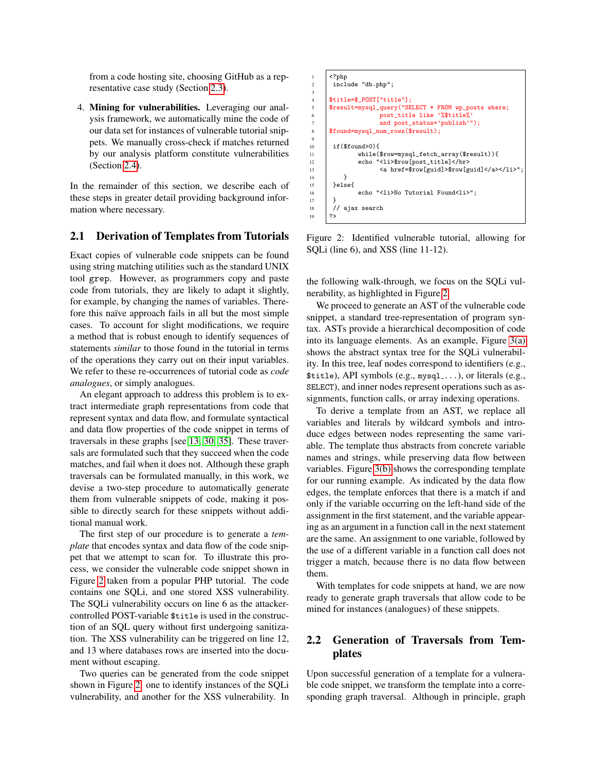from a code hosting site, choosing GitHub as a representative case study (Section [2.3\)](#page-5-1).

4. Mining for vulnerabilities. Leveraging our analysis framework, we automatically mine the code of our data set for instances of vulnerable tutorial snippets. We manually cross-check if matches returned by our analysis platform constitute vulnerabilities (Section [2.4\)](#page-5-2).

In the remainder of this section, we describe each of these steps in greater detail providing background information where necessary.

#### <span id="page-2-0"></span>2.1 Derivation of Templates from Tutorials

Exact copies of vulnerable code snippets can be found using string matching utilities such as the standard UNIX tool grep. However, as programmers copy and paste code from tutorials, they are likely to adapt it slightly, for example, by changing the names of variables. Therefore this naïve approach fails in all but the most simple cases. To account for slight modifications, we require a method that is robust enough to identify sequences of statements *similar* to those found in the tutorial in terms of the operations they carry out on their input variables. We refer to these re-occurrences of tutorial code as *code analogues*, or simply analogues.

An elegant approach to address this problem is to extract intermediate graph representations from code that represent syntax and data flow, and formulate syntactical and data flow properties of the code snippet in terms of traversals in these graphs [see [13,](#page-10-3) [30,](#page-10-4) [35\]](#page-10-5). These traversals are formulated such that they succeed when the code matches, and fail when it does not. Although these graph traversals can be formulated manually, in this work, we devise a two-step procedure to automatically generate them from vulnerable snippets of code, making it possible to directly search for these snippets without additional manual work.

The first step of our procedure is to generate a *template* that encodes syntax and data flow of the code snippet that we attempt to scan for. To illustrate this process, we consider the vulnerable code snippet shown in Figure [2](#page-2-2) taken from a popular PHP tutorial. The code contains one SQLi, and one stored XSS vulnerability. The SQLi vulnerability occurs on line 6 as the attackercontrolled POST-variable \$title is used in the construction of an SQL query without first undergoing sanitization. The XSS vulnerability can be triggered on line 12, and 13 where databases rows are inserted into the document without escaping.

Two queries can be generated from the code snippet shown in Figure [2:](#page-2-2) one to identify instances of the SQLi vulnerability, and another for the XSS vulnerability. In

```
1 <?php
         include "db.php";
 3
4 $title=$_POST["title"];<br>5 $result=mysql_query("SE
        5 $result=mysql_query("SELECT * FROM wp_posts where;
6 post_title like '%$title%'
7 and post_status='publish'");
8 $found=mysql_num_rows($result);
9
10 if($found>0){<br>
\begin{array}{|c|c|c|c|c|}\n\hline\n11111b1800\n\end{array}11 while($row=mysql_fetch_array($result)){
12 echo "<li>$row[post_title]</br><br>
13 <a href=$row[guid]>$row[g
             13 <a href=$row[guid]>$row[guid]</a></li>";
\frac{14}{15}\begin{array}{|c|c|} \hline 15 & \text{else} \end{array}<br>16
        echo "<li>No Tutorial Found<li>";<br>}
17 }
\begin{array}{c|c}\n 18 & // \text{ a jax search} \\
 19 & ?\n\end{array}?
```
<span id="page-2-2"></span>Figure 2: Identified vulnerable tutorial, allowing for SQLi (line 6), and XSS (line 11-12).

the following walk-through, we focus on the SQLi vulnerability, as highlighted in Figure [2.](#page-2-2)

We proceed to generate an AST of the vulnerable code snippet, a standard tree-representation of program syntax. ASTs provide a hierarchical decomposition of code into its language elements. As an example, Figure [3\(a\)](#page-3-0) shows the abstract syntax tree for the SQLi vulnerability. In this tree, leaf nodes correspond to identifiers (e.g., \$title), API symbols (e.g., mysql ...), or literals (e.g., SELECT), and inner nodes represent operations such as assignments, function calls, or array indexing operations.

To derive a template from an AST, we replace all variables and literals by wildcard symbols and introduce edges between nodes representing the same variable. The template thus abstracts from concrete variable names and strings, while preserving data flow between variables. Figure [3\(b\)](#page-3-1) shows the corresponding template for our running example. As indicated by the data flow edges, the template enforces that there is a match if and only if the variable occurring on the left-hand side of the assignment in the first statement, and the variable appearing as an argument in a function call in the next statement are the same. An assignment to one variable, followed by the use of a different variable in a function call does not trigger a match, because there is no data flow between them.

With templates for code snippets at hand, we are now ready to generate graph traversals that allow code to be mined for instances (analogues) of these snippets.

# <span id="page-2-1"></span>2.2 Generation of Traversals from Templates

Upon successful generation of a template for a vulnerable code snippet, we transform the template into a corresponding graph traversal. Although in principle, graph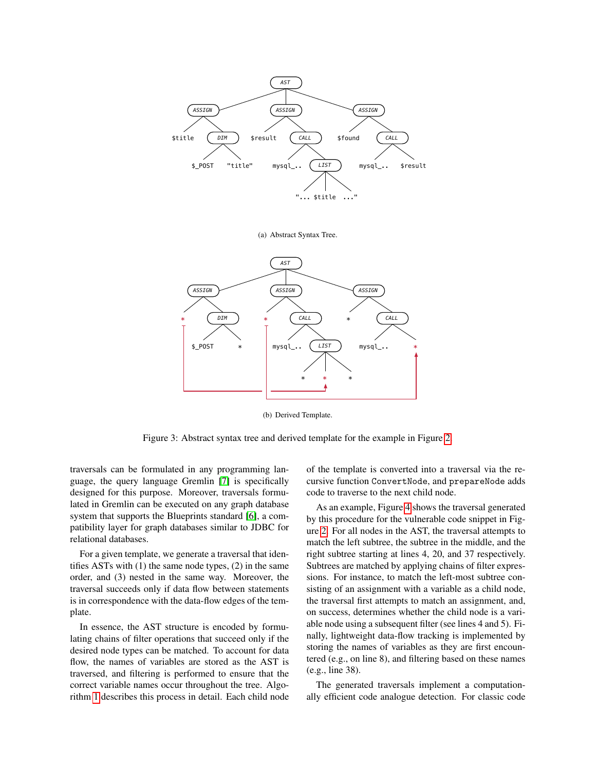<span id="page-3-0"></span>

(a) Abstract Syntax Tree.



(b) Derived Template.

<span id="page-3-1"></span>Figure 3: Abstract syntax tree and derived template for the example in Figure [2.](#page-2-2)

traversals can be formulated in any programming language, the query language Gremlin [\[7\]](#page-9-1) is specifically designed for this purpose. Moreover, traversals formulated in Gremlin can be executed on any graph database system that supports the Blueprints standard [\[6\]](#page-9-2), a compatibility layer for graph databases similar to JDBC for relational databases.

For a given template, we generate a traversal that identifies ASTs with (1) the same node types, (2) in the same order, and (3) nested in the same way. Moreover, the traversal succeeds only if data flow between statements is in correspondence with the data-flow edges of the template.

In essence, the AST structure is encoded by formulating chains of filter operations that succeed only if the desired node types can be matched. To account for data flow, the names of variables are stored as the AST is traversed, and filtering is performed to ensure that the correct variable names occur throughout the tree. Algorithm [1](#page-4-0) describes this process in detail. Each child node of the template is converted into a traversal via the recursive function ConvertNode, and prepareNode adds code to traverse to the next child node.

As an example, Figure [4](#page-4-1) shows the traversal generated by this procedure for the vulnerable code snippet in Figure [2.](#page-2-2) For all nodes in the AST, the traversal attempts to match the left subtree, the subtree in the middle, and the right subtree starting at lines 4, 20, and 37 respectively. Subtrees are matched by applying chains of filter expressions. For instance, to match the left-most subtree consisting of an assignment with a variable as a child node, the traversal first attempts to match an assignment, and, on success, determines whether the child node is a variable node using a subsequent filter (see lines 4 and 5). Finally, lightweight data-flow tracking is implemented by storing the names of variables as they are first encountered (e.g., on line 8), and filtering based on these names (e.g., line 38).

The generated traversals implement a computationally efficient code analogue detection. For classic code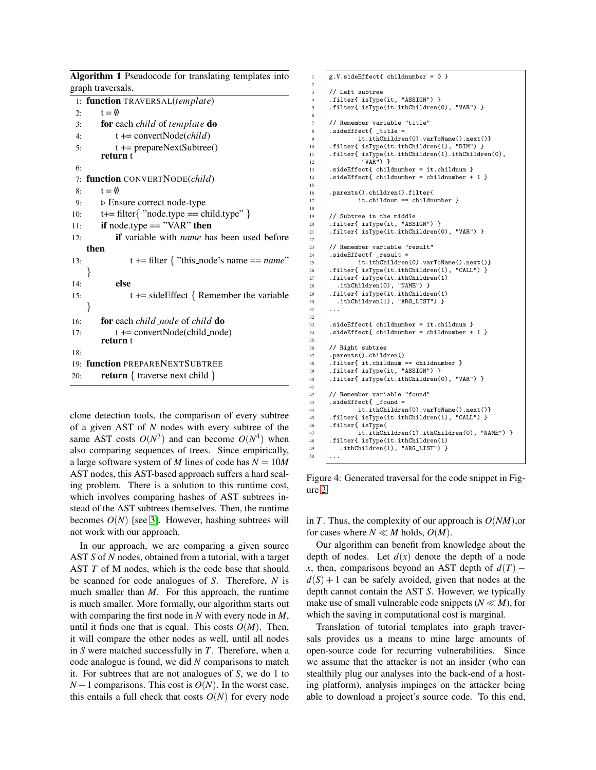<span id="page-4-0"></span>Algorithm 1 Pseudocode for translating templates into graph traversals. 1: function TRAVERSAL(*template*) 2:  $t = \emptyset$ 3: for each *child* of *template* do 4: t += convertNode(*child*) 5: t += prepareNextSubtree() return t 6: 7: function CONVERTNODE(*child*) 8:  $t = \emptyset$ 9:  $\triangleright$  Ensure correct node-type 10:  $t+=$  filter { "node.type = child.type" } 11: if node.type == "VAR" then 12: if variable with *name* has been used before then 13:  $t += filter \{ "this\_node's name == name" \}$ } 14: else 15:  $t \leftarrow sideEffect \{ Remember the variable$ } 16: for each *child node* of *child* do 17:  $t += convertNode(child-node)$ return t 18: 19: function PREPARENEXTSUBTREE 20: **return** { traverse next child }

clone detection tools, the comparison of every subtree of a given AST of *N* nodes with every subtree of the same AST costs  $O(N^3)$  and can become  $O(N^4)$  when also comparing sequences of trees. Since empirically, a large software system of *M* lines of code has *N* = 10*M* AST nodes, this AST-based approach suffers a hard scaling problem. There is a solution to this runtime cost, which involves comparing hashes of AST subtrees instead of the AST subtrees themselves. Then, the runtime becomes  $O(N)$  [see [3\]](#page-9-3). However, hashing subtrees will not work with our approach.

In our approach, we are comparing a given source AST *S* of *N* nodes, obtained from a tutorial, with a target AST *T* of M nodes, which is the code base that should be scanned for code analogues of *S*. Therefore, *N* is much smaller than *M*. For this approach, the runtime is much smaller. More formally, our algorithm starts out with comparing the first node in *N* with every node in *M*, until it finds one that is equal. This costs  $O(M)$ . Then, it will compare the other nodes as well, until all nodes in *S* were matched successfully in *T*. Therefore, when a code analogue is found, we did *N* comparisons to match it. For subtrees that are not analogues of *S*, we do 1 to  $N-1$  comparisons. This cost is  $O(N)$ . In the worst case, this entails a full check that costs  $O(N)$  for every node

```
1 g.V.sideEffect{ childnumber = 0 }
 2
 \begin{array}{c|c} 3 & // \text{ Left subtree} \\ 4 & . \text{filter} \end{array}4 | .filter{ isType(it, "ASSIGN") }<br>5 | .filter{ isType(it.ithChildren(
        5 .filter{ isType(it.ithChildren(0), "VAR") }
 6
 \begin{array}{c|c} \hline \end{array} // Remember variable "title"<br>8 .sideEffect{ _title =
8 .sideEffect{ _title =
                  it.ithChildren(0).varToName().next()}
10 .filter{ isType(it.ithChildren(1), "DIM") }<br>11 .filter{ isType(it.ithChildren(1).ithChildre
        .filter{ isType(it.ithChildren(1).ithChildren(0),
\begin{array}{c} 12 \\ 13 \end{array} \begin{array}{c} \text{WAR}^{\text{II}} \\ \text{sideEffect} \text{child} \end{array}.sideEffect{ childnumber = it.childnum }
14 .sideEffect{ childnumber = childnumber + 1 }
15
16 .parents().children().filter{
17 it.childnum == childnumber }
18
19 // Subtree in the middle
20 .filter{ isType(it, "ASSIGN") }<br>21 .filter{ isType(it.ithChildren(
        .filter{ isType(it.ithChildren(0), "VAR") }
22
23 \frac{1}{24} // Remember variable "result"
24 .sideEffect{ _result =<br>25 it.ithChildren
                  it.ithChildren(0).varToName().next()}
26 .filter{ isType(it.ithChildren(1), "CALL") }<br>27 .filter{ isType(it.ithChildren(1)
        27 .filter{ isType(it.ithChildren(1)
28 .ithChildren(0), "NAME") }
29 .filter{ isType(it.ithChildren(1)
30 .ithChildren(1), "ARG_LIST") }
31
32
33 .sideEffect{ childnumber = it.childnum }
34 .sideEffect{ childnumber = childnumber + 1 }
35
36 // Right subtree
37 .parents().children()
38 .filter{ it.childnum == childnumber }
39 .filter{ isType(it, "ASSIGN") }<br>40 .filter{ isType(it.ithChildren(
        .filter{ isType(it.ithChildren(0), "VAR") }
41
42 // Remember variable "found"<br>43 sideEffect{ found =
43 . sideEffect{ _found =<br>it.ithChildre
44 it.ithChildren(0).varToName().next()}<br>45 if1lter{ isType(it.ithChildren(1), "CALL") }
45 .filter{ isType(it.ithChildren(1), "CALL") }<br>46 .filter{ isType(
46 .filter{ isType(<br>47 it.ithCh
47 it.ithChildren(1).ithChildren(0), "NAME") }<br>48 :filter{ isType(it.ithChildren(1)
        48 .filter{ isType(it.ithChildren(1)
49 .ithChildren(1), "ARG_LIST") }
50
```
<span id="page-4-1"></span>Figure 4: Generated traversal for the code snippet in Figure [2.](#page-2-2)

in *T*. Thus, the complexity of our approach is *O*(*NM*),or for cases where  $N \ll M$  holds,  $O(M)$ .

Our algorithm can benefit from knowledge about the depth of nodes. Let  $d(x)$  denote the depth of a node *x*, then, comparisons beyond an AST depth of  $d(T)$  –  $d(S) + 1$  can be safely avoided, given that nodes at the depth cannot contain the AST *S*. However, we typically make use of small vulnerable code snippets ( $N \ll M$ ), for which the saving in computational cost is marginal.

Translation of tutorial templates into graph traversals provides us a means to mine large amounts of open-source code for recurring vulnerabilities. Since we assume that the attacker is not an insider (who can stealthily plug our analyses into the back-end of a hosting platform), analysis impinges on the attacker being able to download a project's source code. To this end,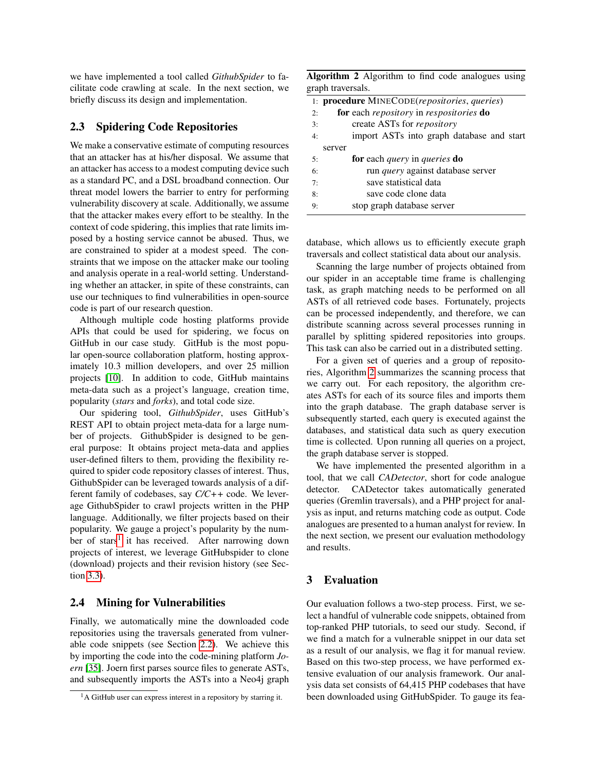we have implemented a tool called *GithubSpider* to facilitate code crawling at scale. In the next section, we briefly discuss its design and implementation.

#### <span id="page-5-1"></span>2.3 Spidering Code Repositories

We make a conservative estimate of computing resources that an attacker has at his/her disposal. We assume that an attacker has access to a modest computing device such as a standard PC, and a DSL broadband connection. Our threat model lowers the barrier to entry for performing vulnerability discovery at scale. Additionally, we assume that the attacker makes every effort to be stealthy. In the context of code spidering, this implies that rate limits imposed by a hosting service cannot be abused. Thus, we are constrained to spider at a modest speed. The constraints that we impose on the attacker make our tooling and analysis operate in a real-world setting. Understanding whether an attacker, in spite of these constraints, can use our techniques to find vulnerabilities in open-source code is part of our research question.

Although multiple code hosting platforms provide APIs that could be used for spidering, we focus on GitHub in our case study. GitHub is the most popular open-source collaboration platform, hosting approximately 10.3 million developers, and over 25 million projects [\[10\]](#page-9-4). In addition to code, GitHub maintains meta-data such as a project's language, creation time, popularity (*stars* and *forks*), and total code size.

Our spidering tool, *GithubSpider*, uses GitHub's REST API to obtain project meta-data for a large number of projects. GithubSpider is designed to be general purpose: It obtains project meta-data and applies user-defined filters to them, providing the flexibility required to spider code repository classes of interest. Thus, GithubSpider can be leveraged towards analysis of a different family of codebases, say *C/C++* code. We leverage GithubSpider to crawl projects written in the PHP language. Additionally, we filter projects based on their popularity. We gauge a project's popularity by the num-ber of stars<sup>[1](#page-5-3)</sup> it has received. After narrowing down projects of interest, we leverage GitHubspider to clone (download) projects and their revision history (see Section [3.3\)](#page-6-0).

#### <span id="page-5-2"></span>2.4 Mining for Vulnerabilities

Finally, we automatically mine the downloaded code repositories using the traversals generated from vulnerable code snippets (see Section [2.2\)](#page-2-1). We achieve this by importing the code into the code-mining platform *Joern* [\[35\]](#page-10-5). Joern first parses source files to generate ASTs, and subsequently imports the ASTs into a Neo4j graph

<span id="page-5-4"></span>

| Algorithm 2 Algorithm to find code analogues using |  |  |  |  |
|----------------------------------------------------|--|--|--|--|
| graph traversals.                                  |  |  |  |  |

| 1: <b>procedure</b> MINECODE( <i>repositories</i> , <i>queries</i> ) |                                                                     |  |  |  |
|----------------------------------------------------------------------|---------------------------------------------------------------------|--|--|--|
| 2:                                                                   | <b>for</b> each <i>repository</i> in <i>respositories</i> <b>do</b> |  |  |  |
| 3:                                                                   | create ASTs for <i>repository</i>                                   |  |  |  |
| 4:                                                                   | import ASTs into graph database and start                           |  |  |  |
|                                                                      | server                                                              |  |  |  |
| 5:                                                                   | <b>for</b> each <i>query</i> in <i>queries</i> <b>do</b>            |  |  |  |
| 6:                                                                   | run query against database server                                   |  |  |  |
| 7:                                                                   | save statistical data                                               |  |  |  |
| 8:                                                                   | save code clone data                                                |  |  |  |
| 9:                                                                   | stop graph database server                                          |  |  |  |

database, which allows us to efficiently execute graph traversals and collect statistical data about our analysis.

Scanning the large number of projects obtained from our spider in an acceptable time frame is challenging task, as graph matching needs to be performed on all ASTs of all retrieved code bases. Fortunately, projects can be processed independently, and therefore, we can distribute scanning across several processes running in parallel by splitting spidered repositories into groups. This task can also be carried out in a distributed setting.

For a given set of queries and a group of repositories, Algorithm [2](#page-5-4) summarizes the scanning process that we carry out. For each repository, the algorithm creates ASTs for each of its source files and imports them into the graph database. The graph database server is subsequently started, each query is executed against the databases, and statistical data such as query execution time is collected. Upon running all queries on a project, the graph database server is stopped.

We have implemented the presented algorithm in a tool, that we call *CADetector*, short for code analogue detector. CADetector takes automatically generated queries (Gremlin traversals), and a PHP project for analysis as input, and returns matching code as output. Code analogues are presented to a human analyst for review. In the next section, we present our evaluation methodology and results.

## <span id="page-5-0"></span>3 Evaluation

Our evaluation follows a two-step process. First, we select a handful of vulnerable code snippets, obtained from top-ranked PHP tutorials, to seed our study. Second, if we find a match for a vulnerable snippet in our data set as a result of our analysis, we flag it for manual review. Based on this two-step process, we have performed extensive evaluation of our analysis framework. Our analysis data set consists of 64,415 PHP codebases that have been downloaded using GitHubSpider. To gauge its fea-

<span id="page-5-3"></span><sup>&</sup>lt;sup>1</sup>A GitHub user can express interest in a repository by starring it.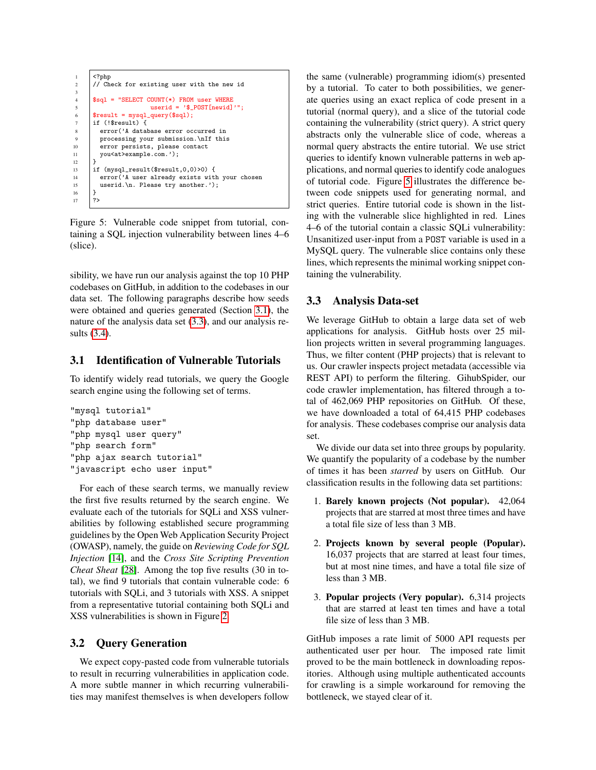```
\begin{array}{c|c}\n1 & \times? \text{php} \\
2 & // Ch\n\end{array}// Check for existing user with the new id
3
       4 $sql = "SELECT COUNT(*) FROM user WHERE
                          userid = '$_POST[newid]'";
 6 \sqrt{\frac{\text{result}}{\text{mysql\_query}}}if (!$result) {
         error('A database error occurred in
 9 processing your submission.\nIf this
10 error persists, please contact<br>11 vou<at>example.com.'):
         you<at>example.com.');
\frac{12}{13}if (mysql_result($result,0,0)>0) {
14 error('A user already exists with your chosen
15 userid.\n. Please try another.');
16 }
17 ?>
```
<span id="page-6-2"></span>Figure 5: Vulnerable code snippet from tutorial, containing a SQL injection vulnerability between lines 4–6 (slice).

sibility, we have run our analysis against the top 10 PHP codebases on GitHub, in addition to the codebases in our data set. The following paragraphs describe how seeds were obtained and queries generated (Section [3.1\)](#page-6-1), the nature of the analysis data set [\(3.3\)](#page-6-0), and our analysis results [\(3.4\)](#page-7-0).

# <span id="page-6-1"></span>3.1 Identification of Vulnerable Tutorials

To identify widely read tutorials, we query the Google search engine using the following set of terms.

```
"mysql tutorial"
"php database user"
"php mysql user query"
"php search form"
"php ajax search tutorial"
"javascript echo user input"
```
For each of these search terms, we manually review the first five results returned by the search engine. We evaluate each of the tutorials for SQLi and XSS vulnerabilities by following established secure programming guidelines by the Open Web Application Security Project (OWASP), namely, the guide on *Reviewing Code for SQL Injection* [\[14\]](#page-10-6), and the *Cross Site Scripting Prevention Cheat Sheat* [\[28\]](#page-10-7). Among the top five results (30 in total), we find 9 tutorials that contain vulnerable code: 6 tutorials with SQLi, and 3 tutorials with XSS. A snippet from a representative tutorial containing both SQLi and XSS vulnerabilities is shown in Figure [2.](#page-2-2)

## 3.2 Query Generation

We expect copy-pasted code from vulnerable tutorials to result in recurring vulnerabilities in application code. A more subtle manner in which recurring vulnerabilities may manifest themselves is when developers follow the same (vulnerable) programming idiom(s) presented by a tutorial. To cater to both possibilities, we generate queries using an exact replica of code present in a tutorial (normal query), and a slice of the tutorial code containing the vulnerability (strict query). A strict query abstracts only the vulnerable slice of code, whereas a normal query abstracts the entire tutorial. We use strict queries to identify known vulnerable patterns in web applications, and normal queries to identify code analogues of tutorial code. Figure [5](#page-6-2) illustrates the difference between code snippets used for generating normal, and strict queries. Entire tutorial code is shown in the listing with the vulnerable slice highlighted in red. Lines 4–6 of the tutorial contain a classic SQLi vulnerability: Unsanitized user-input from a POST variable is used in a MySQL query. The vulnerable slice contains only these lines, which represents the minimal working snippet containing the vulnerability.

# <span id="page-6-0"></span>3.3 Analysis Data-set

We leverage GitHub to obtain a large data set of web applications for analysis. GitHub hosts over 25 million projects written in several programming languages. Thus, we filter content (PHP projects) that is relevant to us. Our crawler inspects project metadata (accessible via REST API) to perform the filtering. GihubSpider, our code crawler implementation, has filtered through a total of 462,069 PHP repositories on GitHub. Of these, we have downloaded a total of 64,415 PHP codebases for analysis. These codebases comprise our analysis data set.

We divide our data set into three groups by popularity. We quantify the popularity of a codebase by the number of times it has been *starred* by users on GitHub. Our classification results in the following data set partitions:

- 1. Barely known projects (Not popular). 42,064 projects that are starred at most three times and have a total file size of less than 3 MB.
- 2. Projects known by several people (Popular). 16,037 projects that are starred at least four times, but at most nine times, and have a total file size of less than 3 MB.
- 3. Popular projects (Very popular). 6,314 projects that are starred at least ten times and have a total file size of less than 3 MB.

GitHub imposes a rate limit of 5000 API requests per authenticated user per hour. The imposed rate limit proved to be the main bottleneck in downloading repositories. Although using multiple authenticated accounts for crawling is a simple workaround for removing the bottleneck, we stayed clear of it.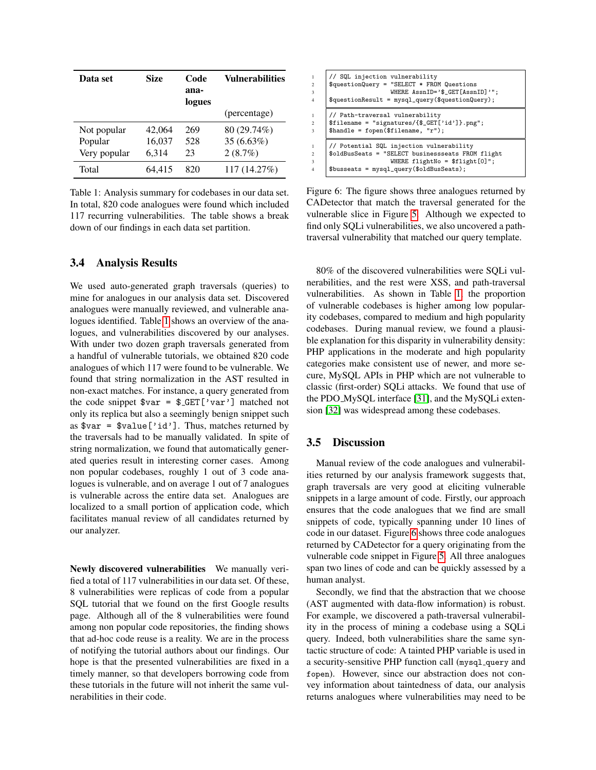| Data set     | Size   | Code<br>ana-<br>logues | <b>Vulnerabilities</b> |
|--------------|--------|------------------------|------------------------|
|              |        |                        | (percentage)           |
| Not popular  | 42,064 | 269                    | 80 (29.74%)            |
| Popular      | 16,037 | 528                    | $35(6.63\%)$           |
| Very popular | 6,314  | 23                     | 2(8.7%)                |
| Total        | 64.415 | 820                    | 117 (14.27%)           |

<span id="page-7-1"></span>Table 1: Analysis summary for codebases in our data set. In total, 820 code analogues were found which included 117 recurring vulnerabilities. The table shows a break down of our findings in each data set partition.

#### <span id="page-7-0"></span>3.4 Analysis Results

We used auto-generated graph traversals (queries) to mine for analogues in our analysis data set. Discovered analogues were manually reviewed, and vulnerable analogues identified. Table [1](#page-7-1) shows an overview of the analogues, and vulnerabilities discovered by our analyses. With under two dozen graph traversals generated from a handful of vulnerable tutorials, we obtained 820 code analogues of which 117 were found to be vulnerable. We found that string normalization in the AST resulted in non-exact matches. For instance, a query generated from the code snippet  $var = \frac{ECF}{Var'}$  matched not only its replica but also a seemingly benign snippet such as  $var = \frac{value['id']}{value['id']$ . Thus, matches returned by the traversals had to be manually validated. In spite of string normalization, we found that automatically generated queries result in interesting corner cases. Among non popular codebases, roughly 1 out of 3 code analogues is vulnerable, and on average 1 out of 7 analogues is vulnerable across the entire data set. Analogues are localized to a small portion of application code, which facilitates manual review of all candidates returned by our analyzer.

Newly discovered vulnerabilities We manually verified a total of 117 vulnerabilities in our data set. Of these, 8 vulnerabilities were replicas of code from a popular SQL tutorial that we found on the first Google results page. Although all of the 8 vulnerabilities were found among non popular code repositories, the finding shows that ad-hoc code reuse is a reality. We are in the process of notifying the tutorial authors about our findings. Our hope is that the presented vulnerabilities are fixed in a timely manner, so that developers borrowing code from these tutorials in the future will not inherit the same vulnerabilities in their code.

| 1              | // SQL injection vulnerability                             |
|----------------|------------------------------------------------------------|
| $\overline{2}$ | $$questionQuery = "SELECT * FROM Questions$                |
| $\overline{3}$ | WHERE $AssnID='$ \$ GET [AssnID]'";                        |
| $\overline{4}$ | \$questionResult = mysql_query(\$questionQuery);           |
| $\mathbf{1}$   | // Path-traversal vulnerability                            |
| $\mathcal{D}$  | $$filename = "signatures/{$CET['id']}.png";$               |
| $\overline{3}$ | $\mathcal{F}$ handle = fopen( $\mathcal{F}$ ilename, "r"); |
| 1              | // Potential SQL injection vulnerability                   |
| $\mathfrak{D}$ | \$oldBusSeats = "SELECT businessseats FROM flight          |
| $\overline{3}$ | WHERE flightNo = $$flight[0]$ ";                           |
| $\overline{4}$ | $$busseats = mysq1_query ($oldBusSeats);$                  |

<span id="page-7-2"></span>Figure 6: The figure shows three analogues returned by CADetector that match the traversal generated for the vulnerable slice in Figure [5.](#page-6-2) Although we expected to find only SQLi vulnerabilities, we also uncovered a pathtraversal vulnerability that matched our query template.

80% of the discovered vulnerabilities were SQLi vulnerabilities, and the rest were XSS, and path-traversal vulnerabilities. As shown in Table [1,](#page-7-1) the proportion of vulnerable codebases is higher among low popularity codebases, compared to medium and high popularity codebases. During manual review, we found a plausible explanation for this disparity in vulnerability density: PHP applications in the moderate and high popularity categories make consistent use of newer, and more secure, MySQL APIs in PHP which are not vulnerable to classic (first-order) SQLi attacks. We found that use of the PDO MySQL interface [\[31\]](#page-10-8), and the MySQLi extension [\[32\]](#page-10-9) was widespread among these codebases.

## 3.5 Discussion

Manual review of the code analogues and vulnerabilities returned by our analysis framework suggests that, graph traversals are very good at eliciting vulnerable snippets in a large amount of code. Firstly, our approach ensures that the code analogues that we find are small snippets of code, typically spanning under 10 lines of code in our dataset. Figure [6](#page-7-2) shows three code analogues returned by CADetector for a query originating from the vulnerable code snippet in Figure [5.](#page-6-2) All three analogues span two lines of code and can be quickly assessed by a human analyst.

Secondly, we find that the abstraction that we choose (AST augmented with data-flow information) is robust. For example, we discovered a path-traversal vulnerability in the process of mining a codebase using a SQLi query. Indeed, both vulnerabilities share the same syntactic structure of code: A tainted PHP variable is used in a security-sensitive PHP function call (mysql query and fopen). However, since our abstraction does not convey information about taintedness of data, our analysis returns analogues where vulnerabilities may need to be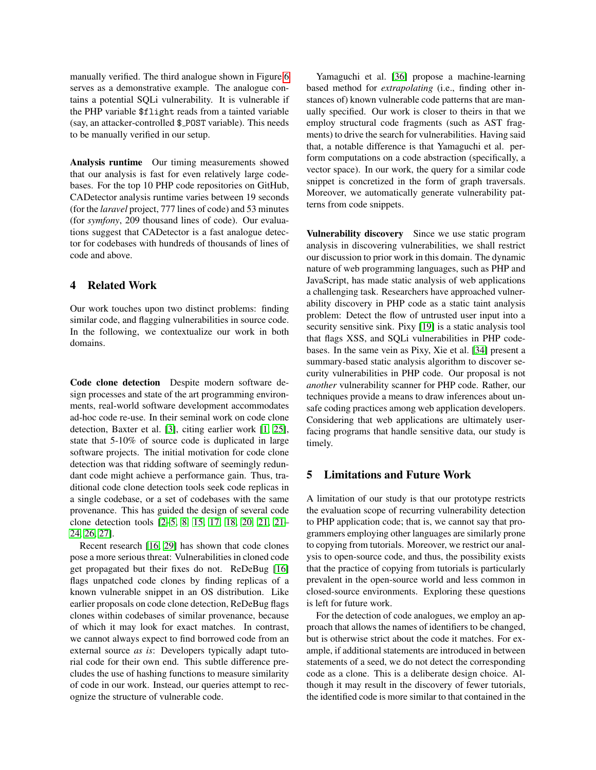manually verified. The third analogue shown in Figure [6](#page-7-2) serves as a demonstrative example. The analogue contains a potential SQLi vulnerability. It is vulnerable if the PHP variable \$flight reads from a tainted variable (say, an attacker-controlled \$ POST variable). This needs to be manually verified in our setup.

Analysis runtime Our timing measurements showed that our analysis is fast for even relatively large codebases. For the top 10 PHP code repositories on GitHub, CADetector analysis runtime varies between 19 seconds (for the *laravel* project, 777 lines of code) and 53 minutes (for *symfony*, 209 thousand lines of code). Our evaluations suggest that CADetector is a fast analogue detector for codebases with hundreds of thousands of lines of code and above.

## 4 Related Work

Our work touches upon two distinct problems: finding similar code, and flagging vulnerabilities in source code. In the following, we contextualize our work in both domains.

Code clone detection Despite modern software design processes and state of the art programming environments, real-world software development accommodates ad-hoc code re-use. In their seminal work on code clone detection, Baxter et al. [\[3\]](#page-9-3), citing earlier work [\[1,](#page-9-5) [25\]](#page-10-10), state that 5-10% of source code is duplicated in large software projects. The initial motivation for code clone detection was that ridding software of seemingly redundant code might achieve a performance gain. Thus, traditional code clone detection tools seek code replicas in a single codebase, or a set of codebases with the same provenance. This has guided the design of several code clone detection tools [\[2](#page-9-6)[–5,](#page-9-7) [8,](#page-9-8) [15,](#page-10-11) [17,](#page-10-12) [18,](#page-10-13) [20,](#page-10-14) [21, 21–](#page-10-15) [24,](#page-10-16) [26,](#page-10-17) [27\]](#page-10-18).

Recent research [\[16,](#page-10-0) [29\]](#page-10-1) has shown that code clones pose a more serious threat: Vulnerabilities in cloned code get propagated but their fixes do not. ReDeBug [\[16\]](#page-10-0) flags unpatched code clones by finding replicas of a known vulnerable snippet in an OS distribution. Like earlier proposals on code clone detection, ReDeBug flags clones within codebases of similar provenance, because of which it may look for exact matches. In contrast, we cannot always expect to find borrowed code from an external source *as is*: Developers typically adapt tutorial code for their own end. This subtle difference precludes the use of hashing functions to measure similarity of code in our work. Instead, our queries attempt to recognize the structure of vulnerable code.

Yamaguchi et al. [\[36\]](#page-11-0) propose a machine-learning based method for *extrapolating* (i.e., finding other instances of) known vulnerable code patterns that are manually specified. Our work is closer to theirs in that we employ structural code fragments (such as AST fragments) to drive the search for vulnerabilities. Having said that, a notable difference is that Yamaguchi et al. perform computations on a code abstraction (specifically, a vector space). In our work, the query for a similar code snippet is concretized in the form of graph traversals. Moreover, we automatically generate vulnerability patterns from code snippets.

Vulnerability discovery Since we use static program analysis in discovering vulnerabilities, we shall restrict our discussion to prior work in this domain. The dynamic nature of web programming languages, such as PHP and JavaScript, has made static analysis of web applications a challenging task. Researchers have approached vulnerability discovery in PHP code as a static taint analysis problem: Detect the flow of untrusted user input into a security sensitive sink. Pixy [\[19\]](#page-10-19) is a static analysis tool that flags XSS, and SQLi vulnerabilities in PHP codebases. In the same vein as Pixy, Xie et al. [\[34\]](#page-10-20) present a summary-based static analysis algorithm to discover security vulnerabilities in PHP code. Our proposal is not *another* vulnerability scanner for PHP code. Rather, our techniques provide a means to draw inferences about unsafe coding practices among web application developers. Considering that web applications are ultimately userfacing programs that handle sensitive data, our study is timely.

## 5 Limitations and Future Work

A limitation of our study is that our prototype restricts the evaluation scope of recurring vulnerability detection to PHP application code; that is, we cannot say that programmers employing other languages are similarly prone to copying from tutorials. Moreover, we restrict our analysis to open-source code, and thus, the possibility exists that the practice of copying from tutorials is particularly prevalent in the open-source world and less common in closed-source environments. Exploring these questions is left for future work.

For the detection of code analogues, we employ an approach that allows the names of identifiers to be changed, but is otherwise strict about the code it matches. For example, if additional statements are introduced in between statements of a seed, we do not detect the corresponding code as a clone. This is a deliberate design choice. Although it may result in the discovery of fewer tutorials, the identified code is more similar to that contained in the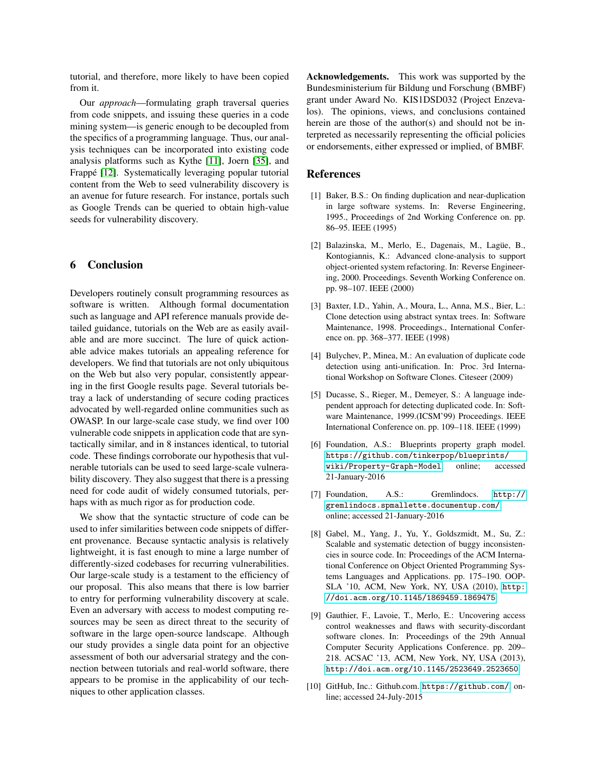tutorial, and therefore, more likely to have been copied from it.

Our *approach*—formulating graph traversal queries from code snippets, and issuing these queries in a code mining system—is generic enough to be decoupled from the specifics of a programming language. Thus, our analysis techniques can be incorporated into existing code analysis platforms such as Kythe [\[11\]](#page-10-21), Joern [\[35\]](#page-10-5), and Frappé [\[12\]](#page-10-22). Systematically leveraging popular tutorial content from the Web to seed vulnerability discovery is an avenue for future research. For instance, portals such as Google Trends can be queried to obtain high-value seeds for vulnerability discovery.

## 6 Conclusion

Developers routinely consult programming resources as software is written. Although formal documentation such as language and API reference manuals provide detailed guidance, tutorials on the Web are as easily available and are more succinct. The lure of quick actionable advice makes tutorials an appealing reference for developers. We find that tutorials are not only ubiquitous on the Web but also very popular, consistently appearing in the first Google results page. Several tutorials betray a lack of understanding of secure coding practices advocated by well-regarded online communities such as OWASP. In our large-scale case study, we find over 100 vulnerable code snippets in application code that are syntactically similar, and in 8 instances identical, to tutorial code. These findings corroborate our hypothesis that vulnerable tutorials can be used to seed large-scale vulnerability discovery. They also suggest that there is a pressing need for code audit of widely consumed tutorials, perhaps with as much rigor as for production code.

We show that the syntactic structure of code can be used to infer similarities between code snippets of different provenance. Because syntactic analysis is relatively lightweight, it is fast enough to mine a large number of differently-sized codebases for recurring vulnerabilities. Our large-scale study is a testament to the efficiency of our proposal. This also means that there is low barrier to entry for performing vulnerability discovery at scale. Even an adversary with access to modest computing resources may be seen as direct threat to the security of software in the large open-source landscape. Although our study provides a single data point for an objective assessment of both our adversarial strategy and the connection between tutorials and real-world software, there appears to be promise in the applicability of our techniques to other application classes.

Acknowledgements. This work was supported by the Bundesministerium für Bildung und Forschung (BMBF) grant under Award No. KIS1DSD032 (Project Enzevalos). The opinions, views, and conclusions contained herein are those of the author(s) and should not be interpreted as necessarily representing the official policies or endorsements, either expressed or implied, of BMBF.

#### References

- <span id="page-9-5"></span>[1] Baker, B.S.: On finding duplication and near-duplication in large software systems. In: Reverse Engineering, 1995., Proceedings of 2nd Working Conference on. pp. 86–95. IEEE (1995)
- <span id="page-9-6"></span>[2] Balazinska, M., Merlo, E., Dagenais, M., Lagüe, B., Kontogiannis, K.: Advanced clone-analysis to support object-oriented system refactoring. In: Reverse Engineering, 2000. Proceedings. Seventh Working Conference on. pp. 98–107. IEEE (2000)
- <span id="page-9-3"></span>[3] Baxter, I.D., Yahin, A., Moura, L., Anna, M.S., Bier, L.: Clone detection using abstract syntax trees. In: Software Maintenance, 1998. Proceedings., International Conference on. pp. 368–377. IEEE (1998)
- [4] Bulychev, P., Minea, M.: An evaluation of duplicate code detection using anti-unification. In: Proc. 3rd International Workshop on Software Clones. Citeseer (2009)
- <span id="page-9-7"></span>[5] Ducasse, S., Rieger, M., Demeyer, S.: A language independent approach for detecting duplicated code. In: Software Maintenance, 1999.(ICSM'99) Proceedings. IEEE International Conference on. pp. 109–118. IEEE (1999)
- <span id="page-9-2"></span>[6] Foundation, A.S.: Blueprints property graph model. [https://github.com/tinkerpop/blueprints/](https://github.com/tinkerpop/blueprints/wiki/Property-Graph-Model) [wiki/Property-Graph-Model](https://github.com/tinkerpop/blueprints/wiki/Property-Graph-Model), online; accessed 21-January-2016
- <span id="page-9-1"></span>[7] Foundation, A.S.: Gremlindocs. [http://](http://gremlindocs.spmallette.documentup.com/) [gremlindocs.spmallette.documentup.com/](http://gremlindocs.spmallette.documentup.com/), online; accessed 21-January-2016
- <span id="page-9-8"></span>[8] Gabel, M., Yang, J., Yu, Y., Goldszmidt, M., Su, Z.: Scalable and systematic detection of buggy inconsistencies in source code. In: Proceedings of the ACM International Conference on Object Oriented Programming Systems Languages and Applications. pp. 175–190. OOP-SLA '10, ACM, New York, NY, USA (2010), [http:](http://doi.acm.org/10.1145/1869459.1869475) [//doi.acm.org/10.1145/1869459.1869475](http://doi.acm.org/10.1145/1869459.1869475)
- <span id="page-9-0"></span>[9] Gauthier, F., Lavoie, T., Merlo, E.: Uncovering access control weaknesses and flaws with security-discordant software clones. In: Proceedings of the 29th Annual Computer Security Applications Conference. pp. 209– 218. ACSAC '13, ACM, New York, NY, USA (2013), <http://doi.acm.org/10.1145/2523649.2523650>
- <span id="page-9-4"></span>[10] GitHub, Inc.: Github.com. <https://github.com/>, online; accessed 24-July-2015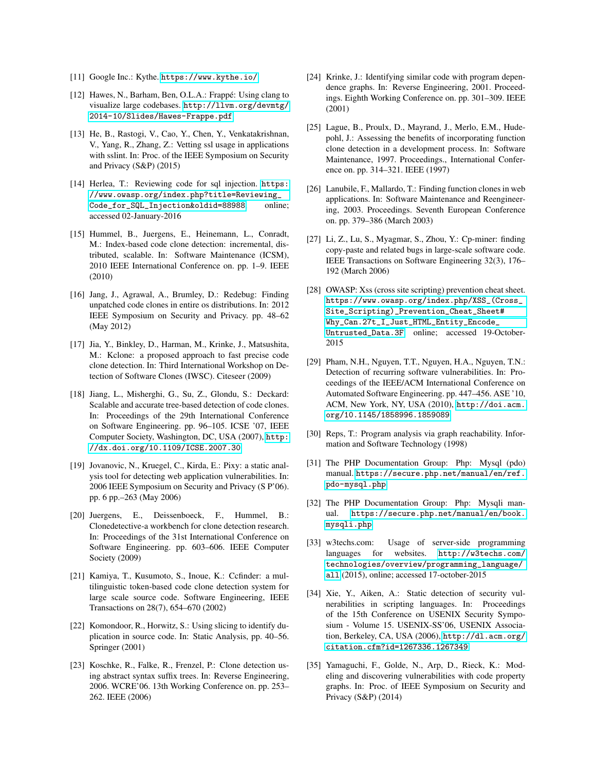- <span id="page-10-21"></span>[11] Google Inc.: Kythe. <https://www.kythe.io/>
- <span id="page-10-22"></span>[12] Hawes, N., Barham, Ben, O.L.A.: Frappé: Using clang to visualize large codebases. [http://llvm.org/devmtg/](http://llvm.org/devmtg/2014-10/Slides/Hawes-Frappe.pdf) [2014-10/Slides/Hawes-Frappe.pdf](http://llvm.org/devmtg/2014-10/Slides/Hawes-Frappe.pdf)
- <span id="page-10-3"></span>[13] He, B., Rastogi, V., Cao, Y., Chen, Y., Venkatakrishnan, V., Yang, R., Zhang, Z.: Vetting ssl usage in applications with sslint. In: Proc. of the IEEE Symposium on Security and Privacy (S&P) (2015)
- <span id="page-10-6"></span>[14] Herlea, T.: Reviewing code for sql injection. [https:](https://www.owasp.org/index.php?title=Reviewing_Code_for_SQL_Injection&oldid=88988) [//www.owasp.org/index.php?title=Reviewing\\_](https://www.owasp.org/index.php?title=Reviewing_Code_for_SQL_Injection&oldid=88988) [Code\\_for\\_SQL\\_Injection&oldid=88988](https://www.owasp.org/index.php?title=Reviewing_Code_for_SQL_Injection&oldid=88988), online; accessed 02-January-2016
- <span id="page-10-11"></span>[15] Hummel, B., Juergens, E., Heinemann, L., Conradt, M.: Index-based code clone detection: incremental, distributed, scalable. In: Software Maintenance (ICSM), 2010 IEEE International Conference on. pp. 1–9. IEEE (2010)
- <span id="page-10-0"></span>[16] Jang, J., Agrawal, A., Brumley, D.: Redebug: Finding unpatched code clones in entire os distributions. In: 2012 IEEE Symposium on Security and Privacy. pp. 48–62 (May 2012)
- <span id="page-10-12"></span>[17] Jia, Y., Binkley, D., Harman, M., Krinke, J., Matsushita, M.: Kclone: a proposed approach to fast precise code clone detection. In: Third International Workshop on Detection of Software Clones (IWSC). Citeseer (2009)
- <span id="page-10-13"></span>[18] Jiang, L., Misherghi, G., Su, Z., Glondu, S.: Deckard: Scalable and accurate tree-based detection of code clones. In: Proceedings of the 29th International Conference on Software Engineering. pp. 96–105. ICSE '07, IEEE Computer Society, Washington, DC, USA (2007), [http:](http://dx.doi.org/10.1109/ICSE.2007.30) [//dx.doi.org/10.1109/ICSE.2007.30](http://dx.doi.org/10.1109/ICSE.2007.30)
- <span id="page-10-19"></span>[19] Jovanovic, N., Kruegel, C., Kirda, E.: Pixy: a static analysis tool for detecting web application vulnerabilities. In: 2006 IEEE Symposium on Security and Privacy (S P'06). pp. 6 pp.–263 (May 2006)
- <span id="page-10-14"></span>[20] Juergens, E., Deissenboeck, F., Hummel, B.: Clonedetective-a workbench for clone detection research. In: Proceedings of the 31st International Conference on Software Engineering. pp. 603–606. IEEE Computer Society (2009)
- <span id="page-10-15"></span>[21] Kamiya, T., Kusumoto, S., Inoue, K.: Ccfinder: a multilinguistic token-based code clone detection system for large scale source code. Software Engineering, IEEE Transactions on 28(7), 654–670 (2002)
- [22] Komondoor, R., Horwitz, S.: Using slicing to identify duplication in source code. In: Static Analysis, pp. 40–56. Springer (2001)
- [23] Koschke, R., Falke, R., Frenzel, P.: Clone detection using abstract syntax suffix trees. In: Reverse Engineering, 2006. WCRE'06. 13th Working Conference on. pp. 253– 262. IEEE (2006)
- <span id="page-10-16"></span>[24] Krinke, J.: Identifying similar code with program dependence graphs. In: Reverse Engineering, 2001. Proceedings. Eighth Working Conference on. pp. 301–309. IEEE (2001)
- <span id="page-10-10"></span>[25] Lague, B., Proulx, D., Mayrand, J., Merlo, E.M., Hudepohl, J.: Assessing the benefits of incorporating function clone detection in a development process. In: Software Maintenance, 1997. Proceedings., International Conference on. pp. 314–321. IEEE (1997)
- <span id="page-10-17"></span>[26] Lanubile, F., Mallardo, T.: Finding function clones in web applications. In: Software Maintenance and Reengineering, 2003. Proceedings. Seventh European Conference on. pp. 379–386 (March 2003)
- <span id="page-10-18"></span>[27] Li, Z., Lu, S., Myagmar, S., Zhou, Y.: Cp-miner: finding copy-paste and related bugs in large-scale software code. IEEE Transactions on Software Engineering 32(3), 176– 192 (March 2006)
- <span id="page-10-7"></span>[28] OWASP: Xss (cross site scripting) prevention cheat sheet. [https://www.owasp.org/index.php/XSS\\_\(Cross\\_](https://www.owasp.org/index.php/XSS_(Cross_Site_Scripting)_Prevention_Cheat_Sheet#Why_Can.27t_I_Just_HTML_Entity_Encode_Untrusted_Data.3F) [Site\\_Scripting\)\\_Prevention\\_Cheat\\_Sheet#](https://www.owasp.org/index.php/XSS_(Cross_Site_Scripting)_Prevention_Cheat_Sheet#Why_Can.27t_I_Just_HTML_Entity_Encode_Untrusted_Data.3F) [Why\\_Can.27t\\_I\\_Just\\_HTML\\_Entity\\_Encode\\_](https://www.owasp.org/index.php/XSS_(Cross_Site_Scripting)_Prevention_Cheat_Sheet#Why_Can.27t_I_Just_HTML_Entity_Encode_Untrusted_Data.3F) [Untrusted\\_Data.3F](https://www.owasp.org/index.php/XSS_(Cross_Site_Scripting)_Prevention_Cheat_Sheet#Why_Can.27t_I_Just_HTML_Entity_Encode_Untrusted_Data.3F), online; accessed 19-October-2015
- <span id="page-10-1"></span>[29] Pham, N.H., Nguyen, T.T., Nguyen, H.A., Nguyen, T.N.: Detection of recurring software vulnerabilities. In: Proceedings of the IEEE/ACM International Conference on Automated Software Engineering. pp. 447–456. ASE '10, ACM, New York, NY, USA (2010), [http://doi.acm.](http://doi.acm.org/10.1145/1858996.1859089) [org/10.1145/1858996.1859089](http://doi.acm.org/10.1145/1858996.1859089)
- <span id="page-10-4"></span>[30] Reps, T.: Program analysis via graph reachability. Information and Software Technology (1998)
- <span id="page-10-8"></span>[31] The PHP Documentation Group: Php: Mysql (pdo) manual. [https://secure.php.net/manual/en/ref.](https://secure.php.net/manual/en/ref.pdo-mysql.php) [pdo-mysql.php](https://secure.php.net/manual/en/ref.pdo-mysql.php)
- <span id="page-10-9"></span>[32] The PHP Documentation Group: Php: Mysqli manual. [https://secure.php.net/manual/en/book.](https://secure.php.net/manual/en/book.mysqli.php) [mysqli.php](https://secure.php.net/manual/en/book.mysqli.php)
- <span id="page-10-2"></span>[33] w3techs.com: Usage of server-side programming languages for websites. [http://w3techs.com/](http://w3techs.com/technologies/overview/programming_language/all) [technologies/overview/programming\\_language/](http://w3techs.com/technologies/overview/programming_language/all) [all](http://w3techs.com/technologies/overview/programming_language/all) (2015), online; accessed 17-october-2015
- <span id="page-10-20"></span>[34] Xie, Y., Aiken, A.: Static detection of security vulnerabilities in scripting languages. In: Proceedings of the 15th Conference on USENIX Security Symposium - Volume 15. USENIX-SS'06, USENIX Association, Berkeley, CA, USA (2006), [http://dl.acm.org/](http://dl.acm.org/citation.cfm?id=1267336.1267349) [citation.cfm?id=1267336.1267349](http://dl.acm.org/citation.cfm?id=1267336.1267349)
- <span id="page-10-5"></span>[35] Yamaguchi, F., Golde, N., Arp, D., Rieck, K.: Modeling and discovering vulnerabilities with code property graphs. In: Proc. of IEEE Symposium on Security and Privacy (S&P) (2014)